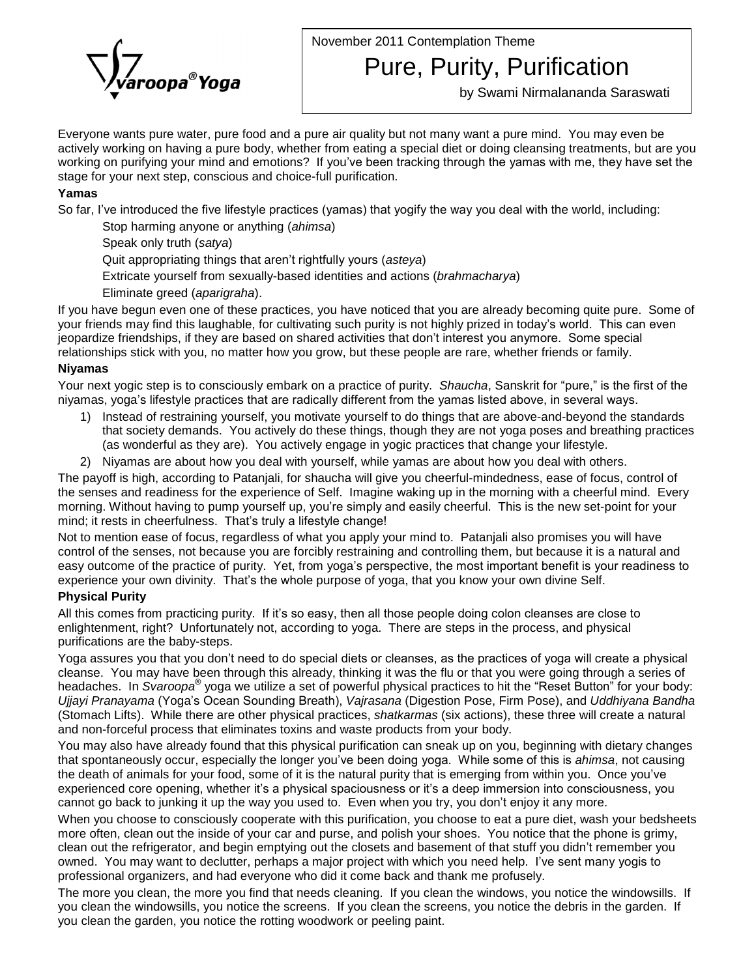November 2011 Contemplation Theme



Pure, Purity, Purification

by Swami Nirmalananda Saraswati

Everyone wants pure water, pure food and a pure air quality but not many want a pure mind. You may even be actively working on having a pure body, whether from eating a special diet or doing cleansing treatments, but are you working on purifying your mind and emotions? If you've been tracking through the yamas with me, they have set the stage for your next step, conscious and choice-full purification.

## **Yamas**

So far, I've introduced the five lifestyle practices (yamas) that yogify the way you deal with the world, including:

Stop harming anyone or anything (ahimsa)

Speak only truth (satya)

Quit appropriating things that aren't rightfully yours (asteya)

Extricate yourself from sexually-based identities and actions (brahmacharya)

Eliminate greed (aparigraha).

If you have begun even one of these practices, you have noticed that you are already becoming quite pure. Some of Eliminate greed (*aparigraha*).<br>If you have begun even one of these practices, you have noticed that you are already becoming quite pure. Some of<br>your friends may find this laughable, for cultivating such purity is not hig If you have begun even one of these practices, you have noticed that you are already becoming quite pure. So<br>your friends may find this laughable, for cultivating such purity is not highly prized in today's world. This can relationships stick with you, no matter how you grow, but these people are rare, whether friends or family. relationships stick with you, no matter how you grow, but these people are rare, whether friends or family.<br>**Niyamas**<br>Your next yogic step is to consciously embark on a practice of purity. *Shaucha*, Sanskrit for "pure,"

## **Niyamas**

<mark>Niyamas</mark><br>Your next yogic step is to consciously embark on a practice of purity. *Shaucha*, Sanskrit for "pure," is the first o<br>niyamas, yoga's lifestyle practices that are radically different from the yamas listed above,

- 1) Instead of restraining yourself, you motivate yourself to do things that are above-and-beyond the standards that society demands. You actively do these things, though they are not yoga poses and breathing practices (as wonderful as they are). You actively engage in yogic practices that change your lifestyle.
- 2) Niyamas are about how you deal with yourself, while yamas are about how you deal with others.

The payoff is high, according to Patanjali, for shaucha will give you cheerful-mindedness, ease of focus, control of the senses and readiness for the experience of Self. Imagine waking up in the morning with a cheerful mind. Every The payoff is high, according to Patanjali, for shaucha will give you cheerful-mindedness, ease of focus, control of<br>the senses and readiness for the experience of Self. Imagine waking up in the morning with a cheerful min mind; it rests and readiness for the experience of Self. Imagine wat morning. Without having to pump yourself up, you're simply and experience of Self. Imagine wat mind; it rests in cheerfulness. That's truly a lifestyle c

Not to mention ease of focus, regardless of what you apply your mind to. Patanjali also promises you will have control of the senses, not because you are forcibly restraining and controlling them, but because it is a natural and experience your own divinity. Thatís the whole purpose of yoga, that you know your own divine Self. easy outcome of the practice of purity. Yet, from yoga's perspective, the most important benefit is your readiness to experience your own divinity. That's the whole purpose of yoga, that you know your own divine Self.<br> **Physical Purity**<br>
All this comes from practicing purity. If it's so easy, then all those people doing colon cleanses are

## **Physical Purity**

enlightenment, right? Unfortunately not, according to yoga. There are steps in the process, and physical purifications are the baby-steps. enlightenment, right? Unfortunately not, according to yoga. There are steps in the process, and physical<br>purifications are the baby-steps.<br>Yoga assures you that you don't need to do special diets or cleanses, as the prac

cleanse. You may have been through this already, thinking it was the flu or that you were going through a series of Yoga assures you that you don't need to do special diets or cleanses, as the practices of yoga will create a physical<br>cleanse. You may have been through this already, thinking it was the flu or that you were going through cleanse. You may have been through this already, thinking it was the flu or that you were going through a series of<br>headaches. In Svaroopa® yoga we utilize a set of powerful physical practices to hit the "Reset Button" for (Stomach Lifts). While there are other physical practices, shatkarmas (six actions), these three will create a natural and non-forceful process that eliminates toxins and waste products from your body.

You may also have already found that this physical purification can sneak up on you, beginning with dietary changes and non-forceful process that eliminates toxins and waste products from your body.<br>You may also have already found that this physical purification can sneak up on you, beginning with dietary changes<br>that spontaneously occu You may also have already found that this physical purification can sneak up on you, beginning with dietary changes<br>that spontaneously occur, especially the longer you've been doing yoga. While some of this is *ahimsa*, no that spontaneously occur, especially the longer you've been doing yoga. While some of this is ahimsa, not causing<br>the death of animals for your food, some of it is the natural purity that is emerging from within you. Once the death of animals for your food, some of it is the natural purity that is emerging from within you. Once you've experienced core opening, whether it's a physical spaciousness or it's a deep immersion into consciousness,

When you choose to consciously cooperate with this purification, you choose to eat a pure diet, wash your bedsheets more often, clean out the inside of your car and purse, and polish your shoes. You notice that the phone is grimy, When you choose to consciously cooperate with this purification, you choose to eat a pure diet, wash your bedsheets<br>more often, clean out the inside of your car and purse, and polish your shoes. You notice that the phone i more often, clean out the inside of your car and purse, and polish your shoes. You notice that the phone is grimy,<br>clean out the refrigerator, and begin emptying out the closets and basement of that stuff you didn't rememb professional organizers, and had everyone who did it come back and thank me profusely.

The more you clean, the more you find that needs cleaning. If you clean the windows, you notice the windowsills. If you clean the windowsills, you notice the screens. If you clean the screens, you notice the debris in the garden. If you clean the garden, you notice the rotting woodwork or peeling paint.